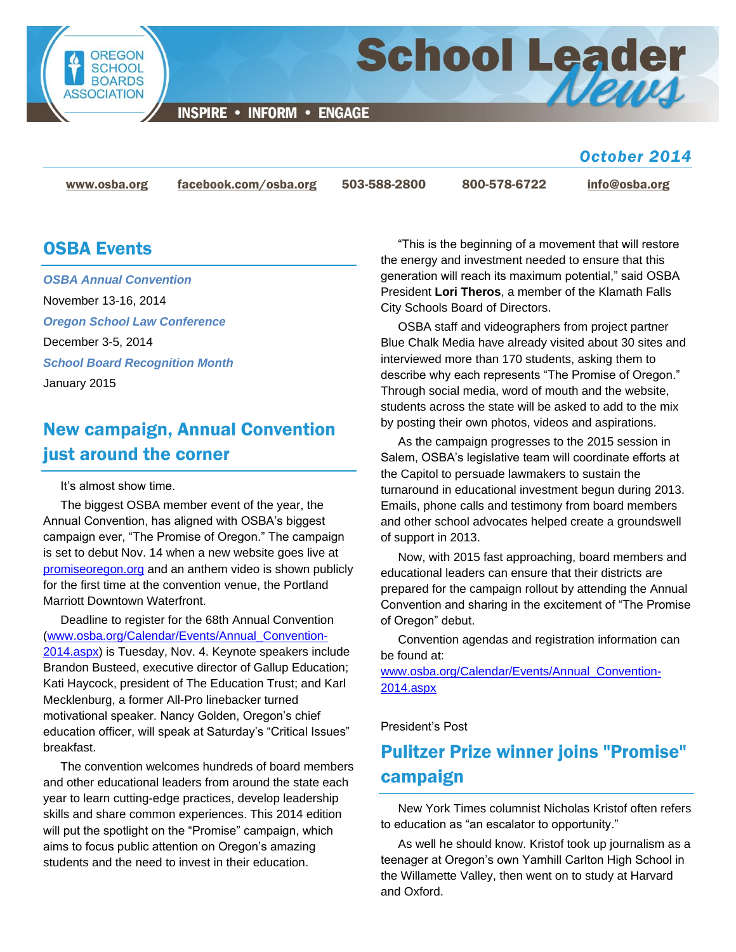

**INSPIRE • INFORM • ENGAGE** 

#### *October 2014*

News

[www.osba.org](http://www.osba.org/) [facebook.com/osba.org](http://www.facebook.com/osba.org) 503-588-2800 800-578-6722 [info@osba.org](mailto:info@osba.org)

School Leader

#### OSBA Events

*[OSBA Annual Convention](http://www.osba.org/Calendar/Events/Annual_Convention-2014.aspx)* November 13-16, 2014 *[Oregon School Law Conference](http://www.osba.org/Calendar/Events/Oregon_School_Law_Conference-2014.aspx)* December 3-5, 2014 *[School Board Recognition Month](http://www.osba.org/Calendar/Events/School_Board_Recognition_Month.aspx)* January 2015

## New campaign, Annual Convention just around the corner

#### It's almost show time.

The biggest OSBA member event of the year, the Annual Convention, has aligned with OSBA's biggest campaign ever, "The Promise of Oregon." The campaign is set to debut Nov. 14 when a new website goes live at [promiseoregon.org](http://www.promiseoregon.org/) and an anthem video is shown publicly for the first time at the convention venue, the Portland Marriott Downtown Waterfront.

Deadline to register for the 68th Annual Convention [\(www.osba.org/Calendar/Events/Annual\\_Convention-](http://www.osba.org/Calendar/Events/Annual_Convention-2014.aspx)[2014.aspx\)](http://www.osba.org/Calendar/Events/Annual_Convention-2014.aspx) is Tuesday, Nov. 4. Keynote speakers include Brandon Busteed, executive director of Gallup Education; Kati Haycock, president of The Education Trust; and Karl Mecklenburg, a former All-Pro linebacker turned motivational speaker. Nancy Golden, Oregon's chief education officer, will speak at Saturday's "Critical Issues" breakfast.

The convention welcomes hundreds of board members and other educational leaders from around the state each year to learn cutting-edge practices, develop leadership skills and share common experiences. This 2014 edition will put the spotlight on the "Promise" campaign, which aims to focus public attention on Oregon's amazing students and the need to invest in their education.

"This is the beginning of a movement that will restore the energy and investment needed to ensure that this generation will reach its maximum potential," said OSBA President **Lori Theros**, a member of the Klamath Falls City Schools Board of Directors.

OSBA staff and videographers from project partner Blue Chalk Media have already visited about 30 sites and interviewed more than 170 students, asking them to describe why each represents "The Promise of Oregon." Through social media, word of mouth and the website, students across the state will be asked to add to the mix by posting their own photos, videos and aspirations.

As the campaign progresses to the 2015 session in Salem, OSBA's legislative team will coordinate efforts at the Capitol to persuade lawmakers to sustain the turnaround in educational investment begun during 2013. Emails, phone calls and testimony from board members and other school advocates helped create a groundswell of support in 2013.

Now, with 2015 fast approaching, board members and educational leaders can ensure that their districts are prepared for the campaign rollout by attending the Annual Convention and sharing in the excitement of "The Promise of Oregon" debut.

Convention agendas and registration information can be found at:

[www.osba.org/Calendar/Events/Annual\\_Convention-](http://www.osba.org/Calendar/Events/Annual_Convention-2014.aspx)[2014.aspx](http://www.osba.org/Calendar/Events/Annual_Convention-2014.aspx)

#### President's Post

# Pulitzer Prize winner joins "Promise" campaign

New York Times columnist Nicholas Kristof often refers to education as "an escalator to opportunity."

As well he should know. Kristof took up journalism as a teenager at Oregon's own Yamhill Carlton High School in the Willamette Valley, then went on to study at Harvard and Oxford.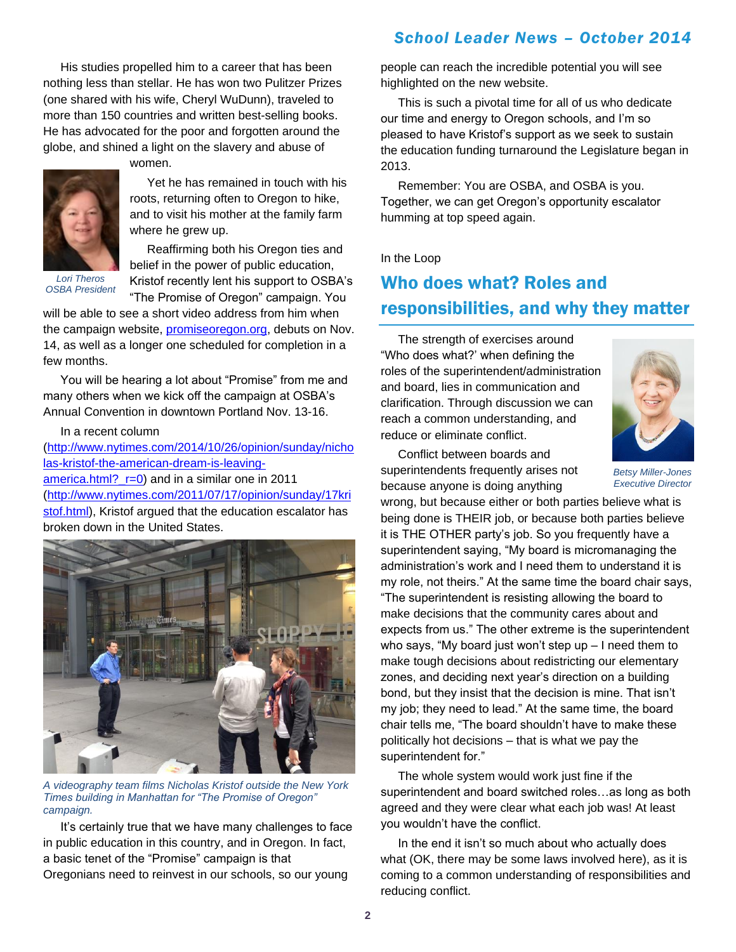His studies propelled him to a career that has been nothing less than stellar. He has won two Pulitzer Prizes (one shared with his wife, Cheryl WuDunn), traveled to more than 150 countries and written best-selling books. He has advocated for the poor and forgotten around the globe, and shined a light on the slavery and abuse of

women.



Yet he has remained in touch with his roots, returning often to Oregon to hike, and to visit his mother at the family farm where he grew up.

*Lori Theros OSBA President*

Reaffirming both his Oregon ties and belief in the power of public education, Kristof recently lent his support to OSBA's "The Promise of Oregon" campaign. You

will be able to see a short video address from him when the campaign website, [promiseoregon.org,](http://www.promiseoregon.org/) debuts on Nov. 14, as well as a longer one scheduled for completion in a few months.

You will be hearing a lot about "Promise" from me and many others when we kick off the campaign at OSBA's Annual Convention in downtown Portland Nov. 13-16.

In a recent column

[\(http://www.nytimes.com/2014/10/26/opinion/sunday/nicho](http://www.nytimes.com/2014/10/26/opinion/sunday/nicholas-kristof-the-american-dream-is-leaving-america.html?_r=0) [las-kristof-the-american-dream-is-leaving](http://www.nytimes.com/2014/10/26/opinion/sunday/nicholas-kristof-the-american-dream-is-leaving-america.html?_r=0)america.html? r=0) and in a similar one in 2011 [\(http://www.nytimes.com/2011/07/17/opinion/sunday/17kri](http://www.nytimes.com/2011/07/17/opinion/sunday/17kristof.html) [stof.html\)](http://www.nytimes.com/2011/07/17/opinion/sunday/17kristof.html), Kristof argued that the education escalator has broken down in the United States.



*A videography team films Nicholas Kristof outside the New York Times building in Manhattan for "The Promise of Oregon" campaign.*

It's certainly true that we have many challenges to face in public education in this country, and in Oregon. In fact, a basic tenet of the "Promise" campaign is that Oregonians need to reinvest in our schools, so our young

#### *School Leader News – October 2014*

people can reach the incredible potential you will see highlighted on the new website.

This is such a pivotal time for all of us who dedicate our time and energy to Oregon schools, and I'm so pleased to have Kristof's support as we seek to sustain the education funding turnaround the Legislature began in 2013.

Remember: You are OSBA, and OSBA is you. Together, we can get Oregon's opportunity escalator humming at top speed again.

In the Loop

#### Who does what? Roles and responsibilities, and why they matter

The strength of exercises around "Who does what?' when defining the roles of the superintendent/administration and board, lies in communication and clarification. Through discussion we can reach a common understanding, and reduce or eliminate conflict.



Conflict between boards and superintendents frequently arises not because anyone is doing anything

*Betsy Miller-Jones Executive Director*

wrong, but because either or both parties believe what is being done is THEIR job, or because both parties believe it is THE OTHER party's job. So you frequently have a superintendent saying, "My board is micromanaging the administration's work and I need them to understand it is my role, not theirs." At the same time the board chair says, "The superintendent is resisting allowing the board to make decisions that the community cares about and expects from us." The other extreme is the superintendent who says, "My board just won't step up – I need them to make tough decisions about redistricting our elementary zones, and deciding next year's direction on a building bond, but they insist that the decision is mine. That isn't my job; they need to lead." At the same time, the board chair tells me, "The board shouldn't have to make these politically hot decisions – that is what we pay the superintendent for."

The whole system would work just fine if the superintendent and board switched roles…as long as both agreed and they were clear what each job was! At least you wouldn't have the conflict.

In the end it isn't so much about who actually does what (OK, there may be some laws involved here), as it is coming to a common understanding of responsibilities and reducing conflict.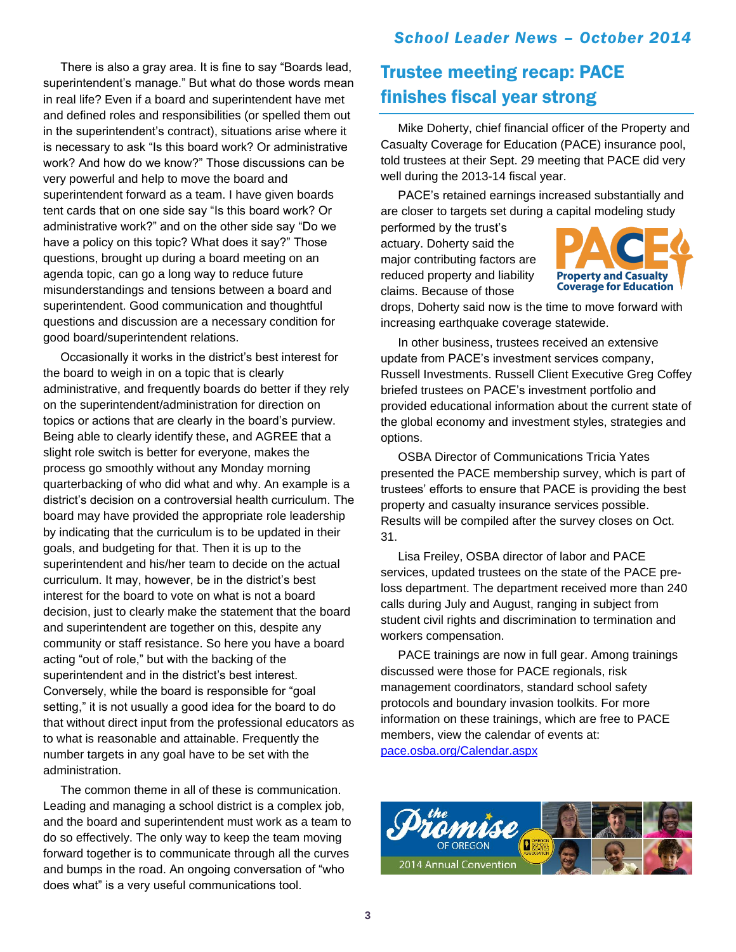There is also a gray area. It is fine to say "Boards lead, superintendent's manage." But what do those words mean in real life? Even if a board and superintendent have met and defined roles and responsibilities (or spelled them out in the superintendent's contract), situations arise where it is necessary to ask "Is this board work? Or administrative work? And how do we know?" Those discussions can be very powerful and help to move the board and superintendent forward as a team. I have given boards tent cards that on one side say "Is this board work? Or administrative work?" and on the other side say "Do we have a policy on this topic? What does it say?" Those questions, brought up during a board meeting on an agenda topic, can go a long way to reduce future misunderstandings and tensions between a board and superintendent. Good communication and thoughtful questions and discussion are a necessary condition for good board/superintendent relations.

Occasionally it works in the district's best interest for the board to weigh in on a topic that is clearly administrative, and frequently boards do better if they rely on the superintendent/administration for direction on topics or actions that are clearly in the board's purview. Being able to clearly identify these, and AGREE that a slight role switch is better for everyone, makes the process go smoothly without any Monday morning quarterbacking of who did what and why. An example is a district's decision on a controversial health curriculum. The board may have provided the appropriate role leadership by indicating that the curriculum is to be updated in their goals, and budgeting for that. Then it is up to the superintendent and his/her team to decide on the actual curriculum. It may, however, be in the district's best interest for the board to vote on what is not a board decision, just to clearly make the statement that the board and superintendent are together on this, despite any community or staff resistance. So here you have a board acting "out of role," but with the backing of the superintendent and in the district's best interest. Conversely, while the board is responsible for "goal setting," it is not usually a good idea for the board to do that without direct input from the professional educators as to what is reasonable and attainable. Frequently the number targets in any goal have to be set with the administration.

The common theme in all of these is communication. Leading and managing a school district is a complex job, and the board and superintendent must work as a team to do so effectively. The only way to keep the team moving forward together is to communicate through all the curves and bumps in the road. An ongoing conversation of "who does what" is a very useful communications tool.

## Trustee meeting recap: PACE finishes fiscal year strong

Mike Doherty, chief financial officer of the Property and Casualty Coverage for Education (PACE) insurance pool, told trustees at their Sept. 29 meeting that PACE did very well during the 2013-14 fiscal year.

PACE's retained earnings increased substantially and are closer to targets set during a capital modeling study

performed by the trust's actuary. Doherty said the major contributing factors are reduced property and liability claims. Because of those



drops, Doherty said now is the time to move forward with increasing earthquake coverage statewide.

In other business, trustees received an extensive update from PACE's investment services company, Russell Investments. Russell Client Executive Greg Coffey briefed trustees on PACE's investment portfolio and provided educational information about the current state of the global economy and investment styles, strategies and options.

OSBA Director of Communications Tricia Yates presented the PACE membership survey, which is part of trustees' efforts to ensure that PACE is providing the best property and casualty insurance services possible. Results will be compiled after the survey closes on Oct. 31.

Lisa Freiley, OSBA director of labor and PACE services, updated trustees on the state of the PACE preloss department. The department received more than 240 calls during July and August, ranging in subject from student civil rights and discrimination to termination and workers compensation.

PACE trainings are now in full gear. Among trainings discussed were those for PACE regionals, risk management coordinators, standard school safety protocols and boundary invasion toolkits. For more information on these trainings, which are free to PACE members, view the calendar of events at: [pace.osba.org/Calendar.aspx](http://pace.osba.org/Calendar.aspx)